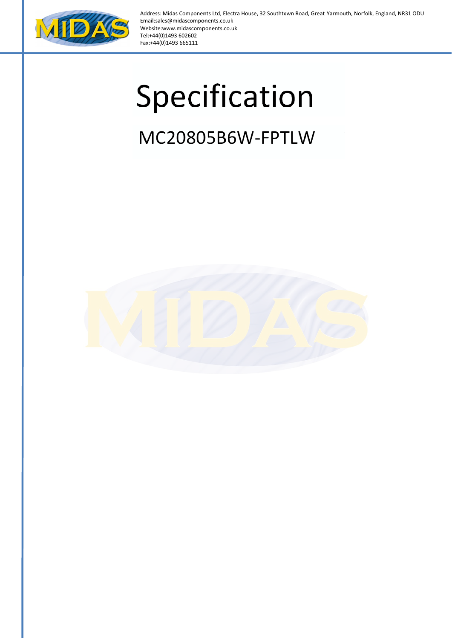

Address: Midas Components Ltd, Electra House, 32 Southtown Road, Great Yarmouth, Norfolk, England, NR31 ODU Email:sales@midascomponents.co.uk Website:w www.midascomp ponents.co.uk Tel:+44(0 )1493 602602 Fax:+44(0 0)1493 665111

# Specification

## MC20805B6W-FPTLW

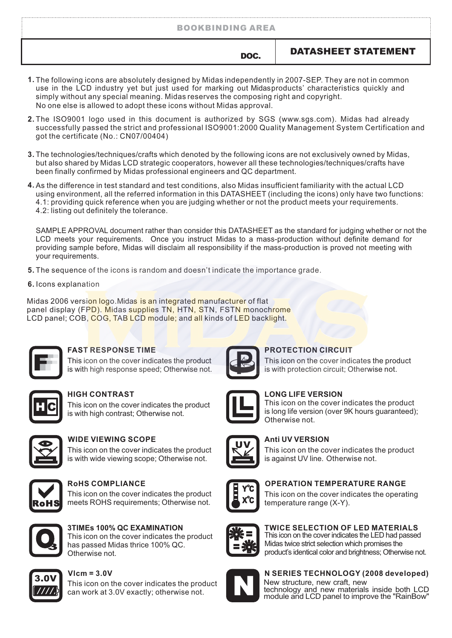#### BOOKBINDING AREA

#### DOC. DATASHEET STATEMENT

- The following icons are absolutely designed by Midas independently in 2007-SEP. They are not in common **1.** use in the LCD industry yet but just used for marking out Midasproducts' characteristics quickly and simply without any special meaning. Midas reserves the composing right and copyright. No one else is allowed to adopt these icons without Midas approval.
- **2.** The ISO9001 logo used in this document is authorized by SGS (www.sgs.com). Midas had already successfully passed the strict and professional ISO9001:2000 Quality Management System Certification and got the certificate (No.: CN07/00404)
- The technologies/techniques/crafts which denoted by the following icons are not exclusively owned by Midas, **3.** but also shared by Midas LCD strategic cooperators, however all these technologies/techniques/crafts have been finally confirmed by Midas professional engineers and QC department.
- As the difference in test standard and test conditions, also Midas insufficient familiarity with the actual LCD **4.** using environment, all the referred information in this DATASHEET (including the icons) only have two functions: 4.1: providing quick reference when you are judging whether or not the product meets your requirements. 4.2: listing out definitely the tolerance.

SAMPLE APPROVAL document rather than consider this DATASHEET as the standard for judging whether or not the LCD meets your requirements. Once you instruct Midas to a mass-production without definite demand for providing sample before, Midas will disclaim all responsibility if the mass-production is proved not meeting with your requirements.

- **5.** The sequence of the icons is random and doesn't indicate the importance grade.
- **6.** Icons explanation

Midas 2006 version logo. Midas is an integrated manufacturer of flat panel display (FPD). Midas supplies TN, HTN, STN, FSTN monochrome LCD panel; COB, COG, TAB LCD module; and all kinds of LED backlight.



#### **FAST RESPONSE TIME**

This icon on the cover indicates the product is with high response speed; Otherwise not.

This icon on the cover indicates the product is with high contrast; Otherwise not.



#### **WIDE VIEWING SCOPE**

This icon on the cover indicates the product is with wide viewing scope; Otherwise not.



#### **RoHS COMPLIANCE**

This icon on the cover indicates the product meets ROHS requirements; Otherwise not.



**3TIMEs 100% QC EXAMINATION** This icon on the cover indicates the product

has passed Midas thrice 100% QC. Otherwise not.



#### 3.0V **Vlcm = 3.0V**

This icon on the cover indicates the product can work at 3.0V exactly; otherwise not.



#### **PROTECTION CIRCUIT**

This icon on the cover indicates the product is with protection circuit; Otherwise not.



#### **HIGH CONTRAST LONG LIFE VERSION**

This icon on the cover indicates the product is long life version (over 9K hours guaranteed); Otherwise not.



#### **Anti UV VERSION**

This icon on the cover indicates the product is against UV line. Otherwise not.



#### **OPERATION TEMPERATURE RANGE**

This icon on the cover indicates the operating temperature range (X-Y).



#### **TWICE SELECTION OF LED MATERIALS**

This icon on the cover indicates the LED had passed Midas twice strict selection which promises the product's identical color and brightness; Otherwise not.



New structure, new craft, new technology and new materials inside both LCD module and LCD panel to improve the "RainBow" **N SERIES TECHNOLOGY (2008 developed)**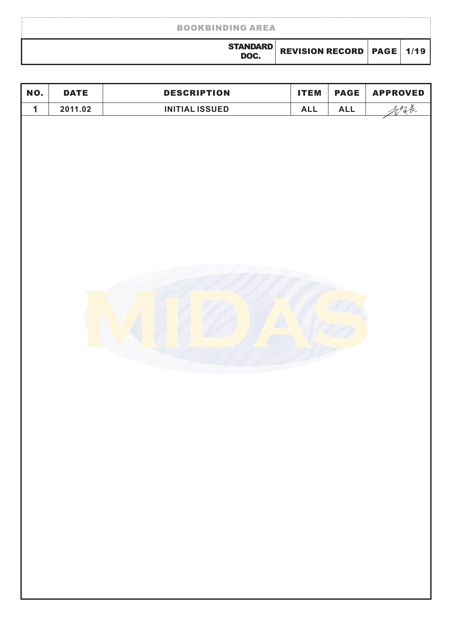| <b>BOOKBINDING AREA</b> |                                      |  |  |  |  |
|-------------------------|--------------------------------------|--|--|--|--|
| <b>STANDARD</b><br>DOC. | <b>REVISION RECORD   PAGE   1/19</b> |  |  |  |  |
|                         |                                      |  |  |  |  |

| NO.         | <b>DATE</b> | <b>DESCRIPTION</b>    | <b>ITEM</b> | <b>PAGE</b> | <b>APPROVED</b> |
|-------------|-------------|-----------------------|-------------|-------------|-----------------|
| $\mathbf 1$ | 2011.02     | <b>INITIAL ISSUED</b> | <b>ALL</b>  | <b>ALL</b>  | 多精长             |
|             |             |                       |             |             |                 |
|             |             |                       |             |             |                 |
|             |             |                       |             |             |                 |
|             |             |                       |             |             |                 |
|             |             |                       |             |             |                 |
|             |             |                       |             |             |                 |
|             |             |                       |             |             |                 |
|             |             |                       |             |             |                 |
|             |             |                       |             |             |                 |
|             |             |                       |             |             |                 |
|             |             |                       |             |             |                 |
|             |             |                       |             |             |                 |
|             |             |                       |             |             |                 |
|             |             |                       |             |             |                 |
|             |             |                       |             |             |                 |
|             |             |                       |             |             |                 |
|             |             |                       |             |             |                 |
|             |             |                       |             |             |                 |
|             |             |                       |             |             |                 |
|             |             |                       |             |             |                 |
|             |             |                       |             |             |                 |
|             |             |                       |             |             |                 |
|             |             |                       |             |             |                 |
|             |             |                       |             |             |                 |
|             |             |                       |             |             |                 |
|             |             |                       |             |             |                 |
|             |             |                       |             |             |                 |
|             |             |                       |             |             |                 |
|             |             |                       |             |             |                 |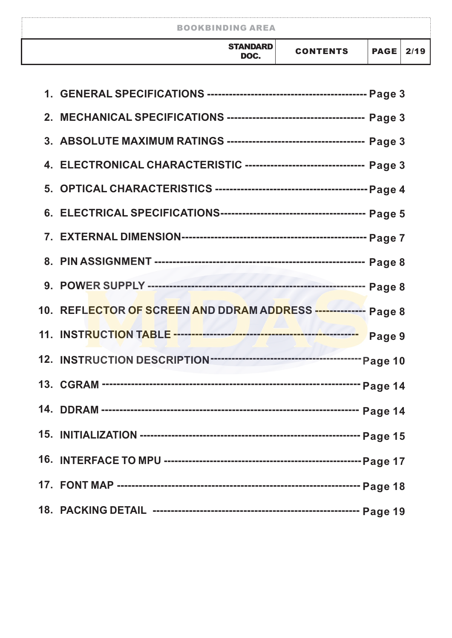| <b>BOOKBINDING AREA</b> |                 |             |      |  |  |
|-------------------------|-----------------|-------------|------|--|--|
| <b>STANDARD</b><br>DOC. | <b>CONTENTS</b> | <b>PAGE</b> | 2/19 |  |  |

| 4. ELECTRONICAL CHARACTERISTIC --------------------------------- Page 3 |        |
|-------------------------------------------------------------------------|--------|
|                                                                         |        |
|                                                                         |        |
|                                                                         |        |
|                                                                         |        |
|                                                                         |        |
| 10. REFLECTOR OF SCREEN AND DDRAM ADDRESS -------------- Page 8         |        |
|                                                                         | Page 9 |
|                                                                         |        |
|                                                                         |        |
|                                                                         |        |
|                                                                         |        |
|                                                                         |        |
|                                                                         |        |
|                                                                         |        |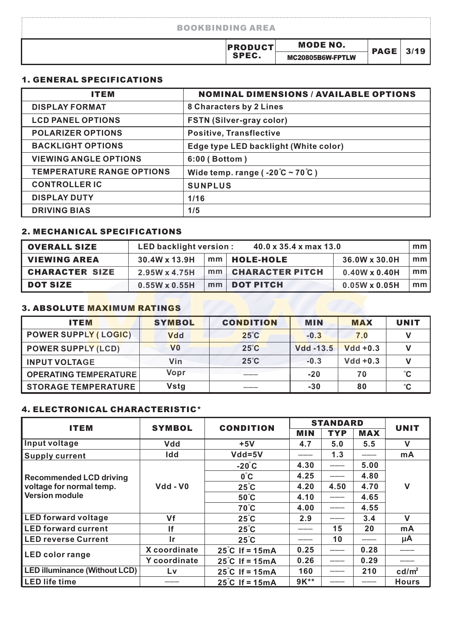| <b>BOOKBINDING AREA</b> |                                     |             |      |
|-------------------------|-------------------------------------|-------------|------|
| <b>PRODUCT</b><br>SPEC. | <b>MODE NO.</b><br>MC20805B6W-FPTLW | <b>PAGE</b> | 3/19 |

#### 1. GENERAL SPECIFICATIONS

| <b>ITEM</b>                      | <b>NOMINAL DIMENSIONS / AVAILABLE OPTIONS</b>      |
|----------------------------------|----------------------------------------------------|
| <b>DISPLAY FORMAT</b>            | 8 Characters by 2 Lines                            |
| <b>LCD PANEL OPTIONS</b>         | <b>FSTN (Silver-gray color)</b>                    |
| <b>POLARIZER OPTIONS</b>         | <b>Positive, Transflective</b>                     |
| <b>BACKLIGHT OPTIONS</b>         | Edge type LED backlight (White color)              |
| <b>VIEWING ANGLE OPTIONS</b>     | 6:00 (Bottom)                                      |
| <b>TEMPERATURE RANGE OPTIONS</b> | Wide temp. range ( $-20^{\circ}$ C ~ 70 $\circ$ C) |
| <b>CONTROLLER IC</b>             | <b>SUNPLUS</b>                                     |
| <b>DISPLAY DUTY</b>              | 1/16                                               |
| <b>DRIVING BIAS</b>              | 1/5                                                |

#### 2. MECHANICAL SPECIFICATIONS

| <b>OVERALL SIZE</b>   | $40.0 \times 35.4 \times \text{max}$ 13.0<br>LED backlight version :<br>mm <sub>1</sub> |  |                      |                      |                 |
|-----------------------|-----------------------------------------------------------------------------------------|--|----------------------|----------------------|-----------------|
| <b>VIEWING AREA</b>   | 30.4W x 13.9H                                                                           |  | mm   HOLE-HOLE       | 36.0W x 30.0H        | mm l            |
| <b>CHARACTER SIZE</b> | 2.95W x 4.75H                                                                           |  | mm   CHARACTER PITCH | $0.40W \times 0.40H$ | mm <sub>l</sub> |
| <b>DOT SIZE</b>       | $0.55W \times 0.55H$                                                                    |  | mm   DOT PITCH       | $0.05W \times 0.05H$ | mm l            |

#### 3. ABSOLUTE MAXIMUM RATINGS

| <b>ITEM</b>                  | <b>SYMBOL</b>  | <b>CONDITION</b> | <b>MIN</b>       | <b>MAX</b>  | <b>UNIT</b>  |
|------------------------------|----------------|------------------|------------------|-------------|--------------|
| <b>POWER SUPPLY (LOGIC)</b>  | <b>Vdd</b>     | $25^{\circ}$ C   | $-0.3$           | 7.0         |              |
| <b>POWER SUPPLY (LCD)</b>    | V <sub>0</sub> | $25^\circ$ C     | <b>Vdd -13.5</b> | $Vdd + 0.3$ |              |
| <b>INPUT VOLTAGE</b>         | Vin            | $25^{\circ}$ C   | $-0.3$           | $Vdd + 0.3$ |              |
| <b>OPERATING TEMPERATURE</b> | Vopr           |                  | $-20$            | 70          | °С           |
| <b>STORAGE TEMPERATURE</b>   | Vstg           | ____             | $-30$            | 80          | $^{\circ}$ C |

#### 4. ELECTRONICAL CHARACTERISTIC\*

| <b>ITEM</b>                          | <b>SYMBOL</b> | <b>CONDITION</b>         | <b>STANDARD</b> | <b>UNIT</b> |            |                   |
|--------------------------------------|---------------|--------------------------|-----------------|-------------|------------|-------------------|
|                                      |               |                          | <b>MIN</b>      | <b>TYP</b>  | <b>MAX</b> |                   |
| Input voltage                        | <b>Vdd</b>    | $+5V$                    | 4.7             | 5.0         | 5.5        | $\mathbf v$       |
| <b>Supply current</b>                | Idd           | $Vdd = 5V$               |                 | 1.3         |            | mA                |
|                                      |               | $-20^{\circ}$ C          | 4.30            |             | 5.00       |                   |
| <b>Recommended LCD driving</b>       |               | $0^{\circ}$ C            | 4.25            |             | 4.80       |                   |
| voltage for normal temp.             | Vdd - V0      | $25^{\circ}$ C           | 4.20            | 4.50        | 4.70       | $\mathsf{V}$      |
| <b>Version module</b>                |               | $50^{\circ}$ C           | 4.10            |             | 4.65       |                   |
|                                      |               | $70^{\circ}$ C           | 4.00            |             | 4.55       |                   |
| <b>LED</b> forward voltage           | Vf            | $25^{\circ}$ C           | 2.9             |             | 3.4        | $\mathbf v$       |
| <b>LED forward current</b>           | lf            | $25^{\circ}$ C           |                 | 15          | 20         | mA                |
| <b>LED reverse Current</b>           | Ir.           | $25^{\circ}$ C           |                 | 10          |            | μA                |
| <b>LED color range</b>               | X coordinate  | $25^{\circ}$ C If = 15mA | 0.25            |             | 0.28       |                   |
|                                      | Y coordinate  | $25^{\circ}$ C If = 15mA | 0.26            |             | 0.29       |                   |
| <b>LED illuminance (Without LCD)</b> | Lv            | $25^{\circ}$ C If = 15mA | 160             |             | 210        | cd/m <sup>2</sup> |
| $\sf LED$ life time                  |               | $25^{\circ}$ C If = 15mA | 9K**            |             |            | <b>Hours</b>      |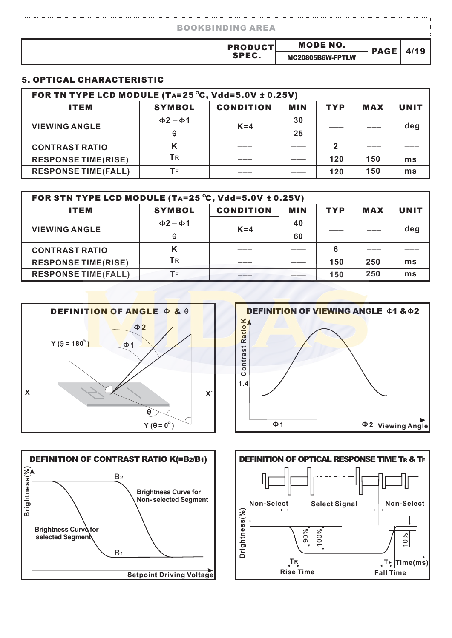| <b>BOOKBINDING AREA</b> |                                     |             |  |
|-------------------------|-------------------------------------|-------------|--|
| <b>PRODUCT</b><br>SPEC. | <b>MODE NO.</b><br>MC20805B6W-FPTLW | <b>PAGE</b> |  |

#### 5. OPTICAL CHARACTERISTIC

| FOR TN TYPE LCD MODULE (TA=25 $\degree$ C, Vdd=5.0V ± 0.25V) |                     |                  |            |            |            |             |  |  |
|--------------------------------------------------------------|---------------------|------------------|------------|------------|------------|-------------|--|--|
| <b>ITEM</b>                                                  | <b>SYMBOL</b>       | <b>CONDITION</b> | <b>MIN</b> | <b>TYP</b> | <b>MAX</b> | <b>UNIT</b> |  |  |
|                                                              | $\Phi$ 2 – $\Phi$ 1 | $K = 4$          | 30         |            |            | deg         |  |  |
| <b>VIEWING ANGLE</b>                                         | Θ                   |                  | 25         |            |            |             |  |  |
| <b>CONTRAST RATIO</b>                                        | Κ                   |                  |            | 2          |            |             |  |  |
| <b>RESPONSE TIME(RISE)</b>                                   | <b>T</b> R          |                  |            | 120        | 150        | ms          |  |  |
| <b>RESPONSE TIME(FALL)</b>                                   | ТF                  |                  |            | 120        | 150        | ms          |  |  |

| FOR STN TYPE LCD MODULE (TA=25 $^{\circ}$ C, Vdd=5.0V $\pm$ 0.25V)                  |                     |         |    |     |     |     |  |  |  |  |
|-------------------------------------------------------------------------------------|---------------------|---------|----|-----|-----|-----|--|--|--|--|
| <b>CONDITION</b><br><b>SYMBOL</b><br><b>MIN</b><br><b>TYP</b><br><b>MAX</b><br>ITEM |                     |         |    |     |     |     |  |  |  |  |
| <b>VIEWING ANGLE</b>                                                                | $\Phi$ 2 – $\Phi$ 1 | $K = 4$ | 40 |     |     | deg |  |  |  |  |
|                                                                                     | Θ                   |         | 60 |     |     |     |  |  |  |  |
| <b>CONTRAST RATIO</b>                                                               |                     |         |    | 6   |     |     |  |  |  |  |
| <b>RESPONSE TIME(RISE)</b>                                                          | ТR                  |         |    | 150 | 250 | ms  |  |  |  |  |
| <b>RESPONSE TIME(FALL)</b>                                                          | ТF                  |         |    | 150 | 250 | ms  |  |  |  |  |







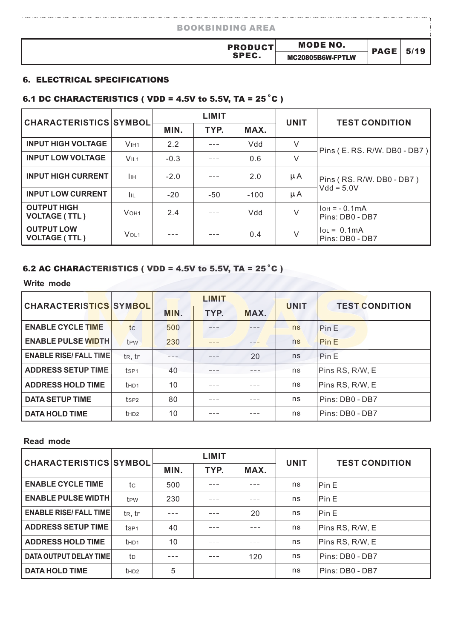| <b>BOOKBINDING AREA</b> |                                     |             |      |
|-------------------------|-------------------------------------|-------------|------|
| <b>PRODUCT</b><br>SPEC. | <b>MODE NO.</b><br>MC20805B6W-FPTLW | <b>PAGE</b> | 5/19 |

#### 6. ELECTRICAL SPECIFICATIONS

### 6.1 DC CHARACTERISTICS ( VDD = 4.5V to 5.5V, TA =  $25^{\circ}$ C )

| <b>CHARACTERISTICS SYMBOL</b>              |                     |              | <b>LIMIT</b> |        | <b>UNIT</b> | <b>TEST CONDITION</b>             |  |  |
|--------------------------------------------|---------------------|--------------|--------------|--------|-------------|-----------------------------------|--|--|
|                                            |                     | TYP.<br>MIN. |              | MAX.   |             |                                   |  |  |
| <b>INPUT HIGH VOLTAGE</b>                  | V <sub>HH1</sub>    | 2.2          |              | Vdd    | V           | Pins (E. RS. R/W. DB0 - DB7)      |  |  |
| <b>INPUT LOW VOLTAGE</b>                   | VIL <sub>1</sub>    | $-0.3$       |              | 0.6    | V           |                                   |  |  |
| <b>INPUT HIGH CURRENT</b>                  | Iін                 | $-2.0$       |              | 2.0    | μA          | Pins (RS. R/W. DB0 - DB7)         |  |  |
| <b>INPUT LOW CURRENT</b>                   | <b>I</b> IL         | $-20$        | $-50$        | $-100$ | μA          | $Vdd = 5.0V$                      |  |  |
| <b>OUTPUT HIGH</b><br><b>VOLTAGE (TTL)</b> | $V$ OH <sub>1</sub> | 2.4          |              | Mdd    | $\vee$      | $IOH = -0.1mA$<br>Pins: DB0 - DB7 |  |  |
| <b>OUTPUT LOW</b><br><b>VOLTAGE (TTL)</b>  | V <sub>OL1</sub>    |              |              | 0.4    | V           | $IOL = 0.1mA$<br>Pins: DB0 - DB7  |  |  |

#### 6.2 AC CHARACTERISTICS ( VDD = 4.5V to 5.5V, TA =  $25^{\circ}$ C )

**Write mode**

| <b>CHARACTERISTICS SYMBOL</b> |                  |      | <b>LIMIT</b> |      | <b>UNIT</b> | <b>TEST CONDITION</b> |
|-------------------------------|------------------|------|--------------|------|-------------|-----------------------|
|                               |                  | MIN. | TYP.         | MAX. |             |                       |
| <b>ENABLE CYCLE TIME</b>      | tc               | 500  |              |      | ns          | Pin E                 |
| <b>ENABLE PULSE WIDTH</b>     | t <sub>PW</sub>  | 230  |              |      | ns          | Pin E                 |
| <b>ENABLE RISE/ FALL TIME</b> | tR, tF           |      |              | 20   | ns          | Pin E                 |
| <b>ADDRESS SETUP TIME</b>     | ts <sub>P1</sub> | 40   |              |      | ns          | Pins RS, R/W, E       |
| <b>ADDRESS HOLD TIME</b>      | t <sub>HD1</sub> | 10   |              |      | ns          | Pins RS, R/W, E       |
| <b>DATA SETUP TIME</b>        | ts <sub>P2</sub> | 80   |              |      | ns          | Pins: DB0 - DB7       |
| <b>DATA HOLD TIME</b>         | t <sub>HD2</sub> | 10   |              |      | ns          | Pins: DB0 - DB7       |

#### **Read mode**

| <b>CHARACTERISTICS SYMBOL</b> |                   |      | <b>LIMIT</b> |      | <b>UNIT</b> | <b>TEST CONDITION</b> |  |
|-------------------------------|-------------------|------|--------------|------|-------------|-----------------------|--|
|                               |                   | MIN. | TYP.         | MAX. |             |                       |  |
| <b>ENABLE CYCLE TIME</b>      | tc                | 500  |              |      | ns          | Pin E                 |  |
| <b>ENABLE PULSE WIDTH</b>     | t <sub>PW</sub>   | 230  |              |      | ns          | Pin E                 |  |
| <b>ENABLE RISE/FALL TIME</b>  | $t_{R}$ , $t_{F}$ |      |              | 20   | ns          | Pin E                 |  |
| <b>ADDRESS SETUP TIME</b>     | ts <sub>P1</sub>  | 40   |              |      | ns          | Pins RS, R/W, E       |  |
| <b>ADDRESS HOLD TIME</b>      | t <sub>HD1</sub>  | 10   |              |      | ns          | Pins RS, R/W, E       |  |
| <b>DATA OUTPUT DELAY TIME</b> | to                |      |              | 120  | ns          | Pins: DB0 - DB7       |  |
| <b>DATA HOLD TIME</b>         | t <sub>HD2</sub>  | 5    |              |      | ns          | Pins: DB0 - DB7       |  |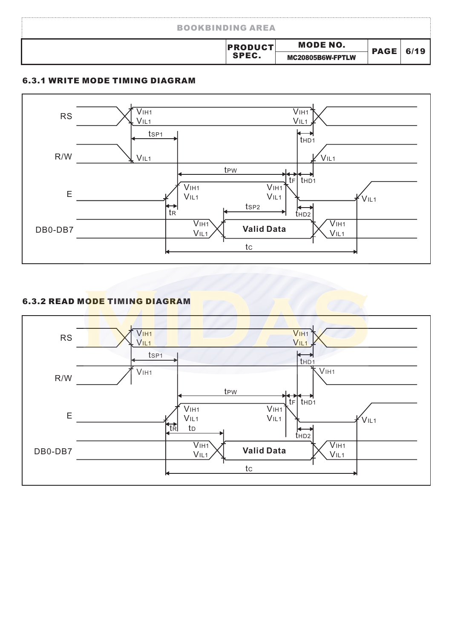| <b>BOOKBINDING AREA</b> |                                     |             |  |
|-------------------------|-------------------------------------|-------------|--|
| <b>PRODUCT</b><br>SPEC. | <b>MODE NO.</b><br>MC20805B6W-FPTLW | <b>PAGE</b> |  |

#### 6.3.1 WRITE MODE TIMING DIAGRAM



#### 6.3.2 READ MODE TIMING DIAGRAM

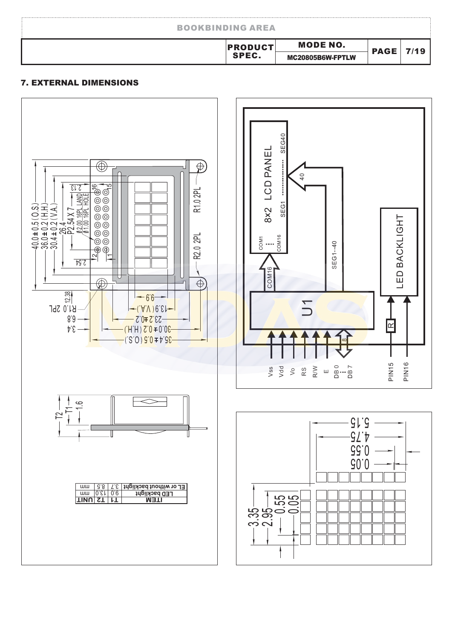| <b>BOOKBINDING AREA</b> |                  |             |         |
|-------------------------|------------------|-------------|---------|
| <b>PRODUCT</b>          | <b>MODE NO.</b>  | <b>PAGE</b> | 7 / 1 Q |
| SPEC.                   | MC20805B6W-FPTLW |             |         |

#### 7. EXTERNAL DIMENSIONS





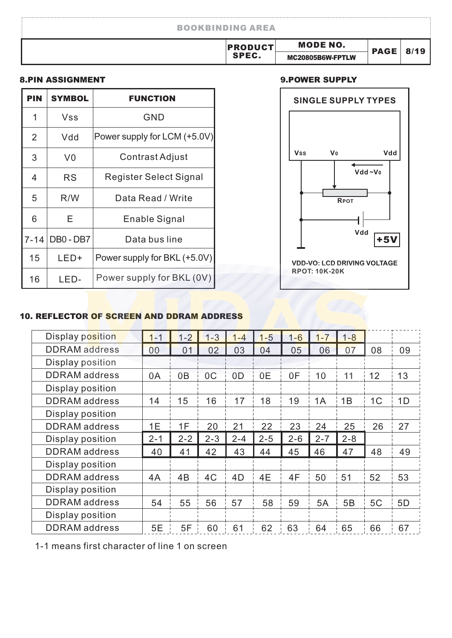| <b>BOOKBINDING AREA</b> |                  |             |      |
|-------------------------|------------------|-------------|------|
| <b>PRODUCT</b>          | <b>MODE NO.</b>  | <b>PAGE</b> | 8/19 |
| SPEC.                   | MC20805B6W-FPTLW |             |      |

#### 8.PIN ASSIGNMENT

| <b>PIN</b> | <b>SYMBOL</b> | <b>FUNCTION</b>               |
|------------|---------------|-------------------------------|
| 1          | Vss           | <b>GND</b>                    |
| 2          | Vdd           | Power supply for LCM (+5.0V)  |
| 3          | V0            | Contrast Adjust               |
| 4          | RS            | <b>Register Select Signal</b> |
| 5          | R/W           | Data Read / Write             |
| 6          | Е             | Enable Signal                 |
| $7 - 14$   | DB0 - DB7     | Data bus line                 |
| 15         | LED+          | Power supply for BKL (+5.0V)  |
| 16         | I FD-         | Power supply for BKL (0V)     |

#### 9.POWER SUPPLY



#### 10. REFLECTOR OF SCREEN AND DDRAM ADDRESS

| Display position     | $1 - 1$ | $1 - 2$        | $1 - 3$        | 1-4            | $1-5$   | $1 - 6$ | $1 - 7$ | $1 - 8$ |                |    |
|----------------------|---------|----------------|----------------|----------------|---------|---------|---------|---------|----------------|----|
| <b>DDRAM</b> address | 00      | 0 <sub>1</sub> | 02             | 03             | 04      | 05      | 06      | 07      | 08             | 09 |
| Display position     |         |                |                |                |         |         |         |         |                |    |
| <b>DDRAM</b> address | 0A      | 0B             | 0 <sup>C</sup> | 0 <sub>D</sub> | 0E      | 0F      | 10      | 11      | 12             | 13 |
| Display position     |         |                |                |                |         |         |         |         |                |    |
| <b>DDRAM</b> address | 14      | 15             | 16             | 17             | 18      | 19      | 1A      | 1B      | 1 <sup>C</sup> | 1D |
| Display position     |         |                |                |                |         |         |         |         |                |    |
| <b>DDRAM</b> address | 1E      | 1F             | 20             | 21             | 22      | 23      | 24      | 25      | 26             | 27 |
| Display position     | $2 - 1$ | $2 - 2$        | $2 - 3$        | $2 - 4$        | $2 - 5$ | $2 - 6$ | $2 - 7$ | $2 - 8$ |                |    |
| <b>DDRAM</b> address | 40      | 41             | 42             | 43             | 44      | 45      | 46      | 47      | 48             | 49 |
| Display position     |         |                |                |                |         |         |         |         |                |    |
| <b>DDRAM</b> address |         |                |                |                |         |         |         |         |                |    |
|                      | 4A      | 4B             | 4C             | 4D             | 4E      | 4F      | 50      | 51      | 52             | 53 |
| Display position     |         |                |                |                |         |         |         |         |                |    |
| <b>DDRAM</b> address | 54      | 55             | 56             | 57             | 58      | 59      | 5A      | 5B      | 5C             | 5D |
| Display position     |         |                |                |                |         |         |         |         |                |    |

1-1 means first character of line 1 on screen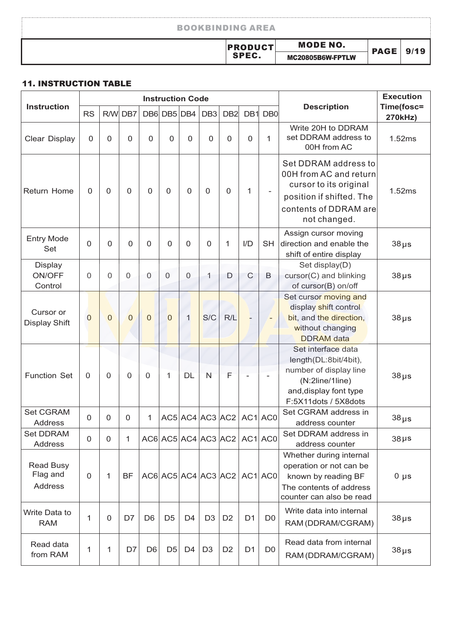| <b>BOOKBINDING AREA</b> |                  |             |      |
|-------------------------|------------------|-------------|------|
| <b>PRODUCT</b>          | <b>MODE NO.</b>  |             | 9/19 |
| SPEC.                   | MC20805B6W-FPTLW | <b>PAGE</b> |      |

#### 11. INSTRUCTION TABLE

|                                         |                |                |                |                | <b>Instruction Code</b> |                |                 |                                           |                |                 |                                                                                                                                               | <b>Execution</b>      |
|-----------------------------------------|----------------|----------------|----------------|----------------|-------------------------|----------------|-----------------|-------------------------------------------|----------------|-----------------|-----------------------------------------------------------------------------------------------------------------------------------------------|-----------------------|
| <b>Instruction</b>                      | <b>RS</b>      | R/W            | DB7            |                | DB6 DB5 DB4             |                | DB <sub>3</sub> | DB <sub>2</sub>                           | DB1            | DB <sub>0</sub> | <b>Description</b>                                                                                                                            | Time(fosc=<br>270kHz) |
| Clear Display                           | $\Omega$       | $\overline{0}$ | 0              | $\Omega$       | $\Omega$                | 0              | $\overline{0}$  | $\mathbf 0$                               | $\Omega$       | 1               | Write 20H to DDRAM<br>set DDRAM address to<br>00H from AC                                                                                     | 1.52ms                |
| <b>Return Home</b>                      | $\Omega$       | $\mathbf 0$    | $\Omega$       | $\Omega$       | 0                       | $\Omega$       | $\mathbf 0$     | $\mathbf 0$                               | 1              |                 | Set DDRAM address to<br>00H from AC and return<br>cursor to its original<br>position if shifted. The<br>contents of DDRAM are<br>not changed. | 1.52ms                |
| <b>Entry Mode</b><br>Set                | 0              | 0              | $\Omega$       | 0              | 0                       | $\mathbf 0$    | $\mathbf 0$     | 1                                         | I/D            | <b>SH</b>       | Assign cursor moving<br>direction and enable the<br>shift of entire display                                                                   | $38\,\mu s$           |
| <b>Display</b><br>ON/OFF<br>Control     | 0              | $\Omega$       | $\Omega$       | $\Omega$       | $\Omega$                | $\overline{0}$ | 1               | D                                         | $\mathsf{C}$   | B               | Set display(D)<br>cursor(C) and blinking<br>of cursor(B) on/off                                                                               | $38\,\mu s$           |
| Cursor or<br><b>Display Shift</b>       | $\overline{0}$ | $\overline{0}$ | $\overline{0}$ | $\Omega$       | $\Omega$                | $\mathbf{1}$   | S/C             | R/L                                       | $-$            |                 | Set cursor moving and<br>display shift control<br>bit, and the direction,<br>without changing<br><b>DDRAM</b> data                            | $38 \,\mu s$          |
| <b>Function Set</b>                     | $\mathbf 0$    | $\overline{0}$ | $\Omega$       | 0              | 1                       | DL             | N               | F                                         |                |                 | Set interface data<br>length(DL:8bit/4bit),<br>number of display line<br>(N:2line/1line)<br>and, display font type<br>F:5X11dots / 5X8dots    | $38 \,\mu s$          |
| <b>Set CGRAM</b><br>Address             | 0              | $\mathbf{0}$   | 0              | 1              |                         |                |                 | AC5 AC4 AC3 AC2 AC1 AC0                   |                |                 | Set CGRAM address in<br>address counter                                                                                                       | $38 \mu s$            |
| <b>Set DDRAM</b><br>Address             | 0              | $\mathbf{0}$   | 1              |                |                         |                |                 | $AC6$ $AC5$ $AC4$ $AC3$ $AC2$ $AC1$ $AC1$ |                |                 | Set DDRAM address in<br>address counter                                                                                                       | $38\,\mu s$           |
| <b>Read Busy</b><br>Flag and<br>Address | $\mathbf 0$    | $\mathbf{1}$   | <b>BF</b>      |                |                         |                |                 | AC6 AC5 AC4 AC3 AC2 AC1 AC0               |                |                 | Whether during internal<br>operation or not can be<br>known by reading BF<br>The contents of address<br>counter can also be read              | $0 \mu s$             |
| Write Data to<br><b>RAM</b>             | 1              | 0              | D7             | D <sub>6</sub> | D <sub>5</sub>          | D <sub>4</sub> | D <sub>3</sub>  | D <sub>2</sub>                            | D <sub>1</sub> | D <sub>0</sub>  | Write data into internal<br>RAM (DDRAM/CGRAM)                                                                                                 | $38\,\mu s$           |
| Read data<br>from RAM                   | 1              | 1              | D7             | D <sub>6</sub> | D <sub>5</sub>          | D <sub>4</sub> | D <sub>3</sub>  | D <sub>2</sub>                            | D <sub>1</sub> | D <sub>0</sub>  | Read data from internal<br>RAM (DDRAM/CGRAM)                                                                                                  | $38 \mu s$            |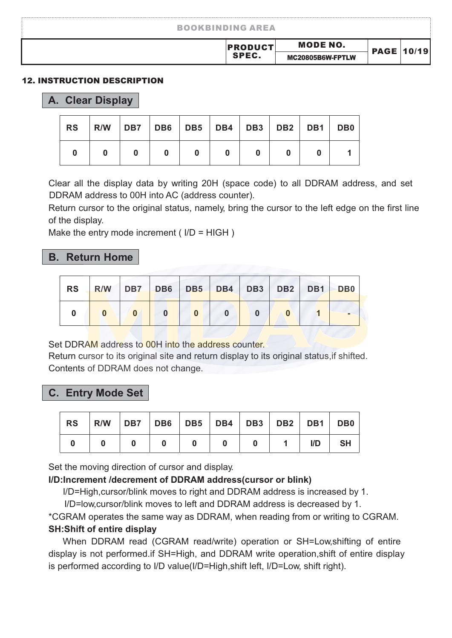| <b>MODE NO.</b><br><b>PRODUCT</b><br><b>PAGE 10/19</b><br>SPEC. | <b>BOOKBINDING AREA</b> |                  |  |
|-----------------------------------------------------------------|-------------------------|------------------|--|
|                                                                 |                         |                  |  |
|                                                                 |                         | MC20805B6W-FPTLW |  |

#### 12. INSTRUCTION DESCRIPTION

#### **A. Clear Display**

| <b>RS</b> | R/W DB7 DB6 DB5 DB4 DB3 DB2 DB1 DB0 |  |  |  |  |
|-----------|-------------------------------------|--|--|--|--|
|           |                                     |  |  |  |  |

Clear all the display data by writing 20H (space code) to all DDRAM address, and set DDRAM address to 00H into AC (address counter).

Return cursor to the original status, namely, bring the cursor to the left edge on the first line of the display.

Make the entry mode increment (  $I/D = HIGH$  )

#### **B. Return Home**

|  | RS R/W DB7 DB6 DB5 DB4 DB3 DB2 DB1 DB0 |  |  |  |  |
|--|----------------------------------------|--|--|--|--|
|  |                                        |  |  |  |  |

Set DDRAM address to 00H into the address counter.

Return cursor to its original site and return display to its original status,if shifted. Contents of DDRAM does not change.

#### **C. Entry Mode Set**

| ' RS | R/W DB7 DB6 DB5 DB4 DB3 DB2 DB1 DB0 |  |  |     |           |
|------|-------------------------------------|--|--|-----|-----------|
|      |                                     |  |  | I/D | <b>SH</b> |

Set the moving direction of cursor and display.

#### **I/D:Increment /decrement of DDRAM address(cursor or blink)**

I/D=High,cursor/blink moves to right and DDRAM address is increased by 1.

I/D=low,cursor/blink moves to left and DDRAM address is decreased by 1.

\*CGRAM operates the same way as DDRAM, when reading from or writing to CGRAM. **SH:Shift of entire display**

When DDRAM read (CGRAM read/write) operation or SH=Low,shifting of entire display is not performed.if SH=High, and DDRAM write operation,shift of entire display is performed according to I/D value(I/D=High,shift left, I/D=Low, shift right).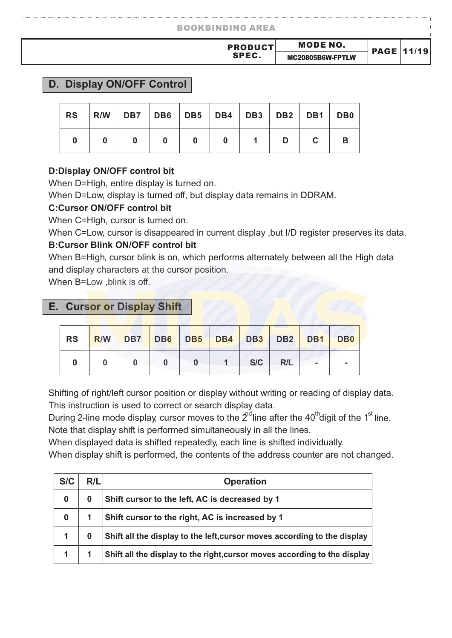| <b>BOOKBINDING AREA</b> |                  |                   |  |
|-------------------------|------------------|-------------------|--|
| <b>PRODUCT</b>          | MODE NO.         | <b>PAGE 11/19</b> |  |
| <b>SPEC.</b>            | MC20805B6W-FPTLW |                   |  |

#### **D. Display ON/OFF Control**

| <b>RS</b> | R/W   DB7   DB6   DB5   DB4   DB3   DB2   DB1   DB0 |  |  |  |  |
|-----------|-----------------------------------------------------|--|--|--|--|
|           |                                                     |  |  |  |  |

#### **D:Display ON/OFF control bit**

When D=High, entire display is turned on.

When D=Low, display is turned off, but display data remains in DDRAM.

#### **C:Cursor ON/OFF control bit**

When C=High, cursor is turned on.

When C=Low, cursor is disappeared in current display , but I/D register preserves its data.

#### **B:Cursor Blink ON/OFF control bit**

and display characters at the cursor position. When B=High, cursor blink is on, which performs alternately between all the High data

When B=Low ,blink is off.

#### **E. Cursor or Display Shift**

|  |  |  |           | RS R/W DB7 DB6 DB5 DB4 DB3 DB2 DB1 DB0 |  |
|--|--|--|-----------|----------------------------------------|--|
|  |  |  | 1 S/C R/L | <b>Contract Contract</b>               |  |

Shifting of right/left cursor position or display without writing or reading of display data. This instruction is used to correct or search display data.

During 2-line mode display, cursor moves to the  $2^{rd}$  line after the 40<sup>th</sup>digit of the 1<sup>st</sup> line. Note that display shift is performed simultaneously in all the lines.

When displayed data is shifted repeatedly, each line is shifted individually.

When display shift is performed, the contents of the address counter are not changed.

| S/C      | R/L | <b>Operation</b>                                                          |
|----------|-----|---------------------------------------------------------------------------|
| $\bf{0}$ | 0   | Shift cursor to the left, AC is decreased by 1                            |
| $\bf{0}$ |     | Shift cursor to the right, AC is increased by 1                           |
|          |     | Shift all the display to the left, cursor moves according to the display  |
|          |     | Shift all the display to the right, cursor moves according to the display |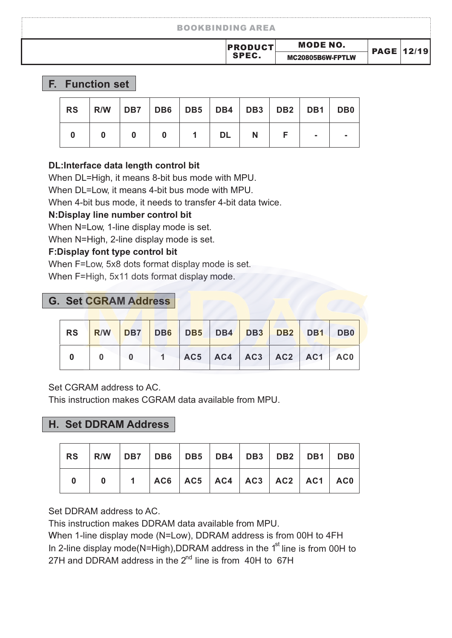#### BOOKBINDING AREA

#### **F. Function set**

| RS | R/W   DB7   DB6   DB5   DB4   DB3   DB2   DB1   DB0 |  |    |  |  |
|----|-----------------------------------------------------|--|----|--|--|
|    |                                                     |  | DL |  |  |

#### **DL:Interface data length control bit**

When DL=High, it means 8-bit bus mode with MPU.

When DL=Low, it means 4-bit bus mode with MPU.

When 4-bit bus mode, it needs to transfer 4-bit data twice.

#### **N:Display line number control bit**

When N=Low, 1-line display mode is set.

When N=High, 2-line display mode is set.

#### **F:Display font type control bit**

When F=Low, 5x8 dots format display mode is set.

When F=High, 5x11 dots format display mode.

#### **G. Set CGRAM Address**

|  |  |  |  | RS   <mark>R/W   DB7   DB6   DB5   DB4   DB3   DB2   DB1   DB0  </mark> |
|--|--|--|--|-------------------------------------------------------------------------|
|  |  |  |  | 0 0 0 1 AC5 AC4 AC3 AC2 AC1 AC0                                         |

Set CGRAM address to AC.

This instruction makes CGRAM data available from MPU.

#### **H. Set DDRAM Address**

| RS   R/W   DB7   DB6   DB5   DB4   DB3   DB2   DB1   DB0 |                                          |  |  |  |  |
|----------------------------------------------------------|------------------------------------------|--|--|--|--|
|                                                          | 0   1  AC6  AC5  AC4  AC3  AC2  AC1  AC0 |  |  |  |  |

Set DDRAM address to AC.

This instruction makes DDRAM data available from MPU.

In 2-line display mode(N=High),DDRAM address in the  $1<sup>st</sup>$  line is from 00H to 27H and DDRAM address in the 2<sup>nd</sup> line is from 40H to 67H When 1-line display mode (N=Low), DDRAM address is from 00H to 4FH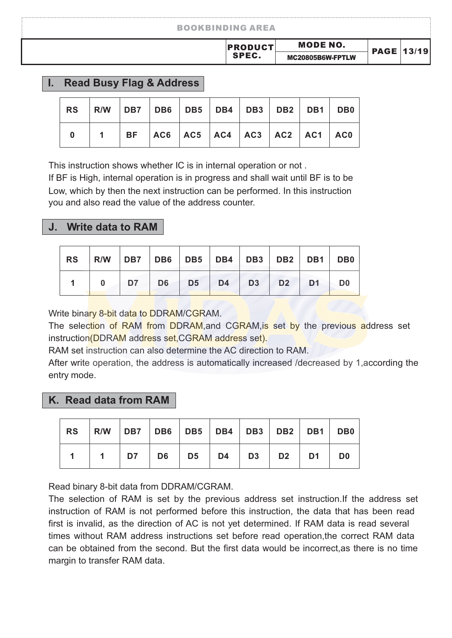| <b>BOOKBINDING AREA</b> |                  |                   |
|-------------------------|------------------|-------------------|
| <b>PRODUCT</b>          | <b>MODE NO.</b>  | <b>PAGE 13/19</b> |
| SPEC.                   | MC20805B6W-FPTLW |                   |

#### **I. Read Busy Flag & Address**

|  | 1   BF   AC6   AC5   AC4   AC3   AC2   AC1   AC0 |  |  |  |  |
|--|--------------------------------------------------|--|--|--|--|

This instruction shows whether IC is in internal operation or not .

you and also read the value of the address counter. If BF is High, internal operation is in progress and shall wait until BF is to be Low, which by then the next instruction can be performed. In this instruction

#### **J. Write data to RAM**

|  |                                           |  |  |  | RS   R/W   DB7   DB6   DB5   DB4   DB3   DB2   DB1   DB0 |
|--|-------------------------------------------|--|--|--|----------------------------------------------------------|
|  | 0   D7   D6   D5   D4   D3   D2   D1   D0 |  |  |  |                                                          |

Write binary 8-bit data to DDRAM/CGRAM.

The selection of RAM from DDRAM, and CGRAM, is set by the previous address set instruction(DDRAM address set,CGRAM address set).

RAM set instruction can also determine the AC direction to RAM.

After write operation, the address is automatically increased /decreased by 1,according the entry mode.

#### **K. Read data from RAM**

| RS   R/W   DB7   DB6   DB5   DB4   DB3   DB2   DB1   DB0 |                                               |  |  |  |  |
|----------------------------------------------------------|-----------------------------------------------|--|--|--|--|
|                                                          | 1   1   D7   D6   D5   D4   D3   D2   D1   D0 |  |  |  |  |

Read binary 8-bit data from DDRAM/CGRAM.

The selection of RAM is set by the previous address set instruction.If the address set instruction of RAM is not performed before this instruction, the data that has been read first is invalid, as the direction of AC is not yet determined. If RAM data is read several times without RAM address instructions set before read operation,the correct RAM data can be obtained from the second. But the first data would be incorrect,as there is no time margin to transfer RAM data.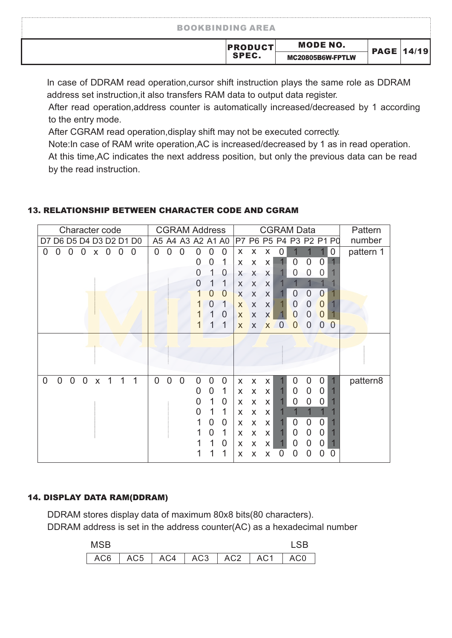| <b>BOOKBINDING AREA</b> |                  |                   |  |
|-------------------------|------------------|-------------------|--|
| <b>PRODUCT</b>          | <b>MODE NO.</b>  | <b>PAGE 14/19</b> |  |
| SPEC.                   | MC20805B6W-FPTLW |                   |  |

In case of DDRAM read operation,cursor shift instruction plays the same role as DDRAM address set instruction,it also transfers RAM data to output data register.

After read operation,address counter is automatically increased/decreased by 1 according to the entry mode.

After CGRAM read operation,display shift may not be executed correctly.

Note:In case of RAM write operation,AC is increased/decreased by 1 as in read operation. At this time,AC indicates the next address position, but only the previous data can be read by the read instruction.

#### 13. RELATIONSHIP BETWEEN CHARACTER CODE AND CGRAM

| Character code                                                              | <b>CGRAM Address</b>                                   | <b>CGRAM Data</b>                                                          | Pattern   |
|-----------------------------------------------------------------------------|--------------------------------------------------------|----------------------------------------------------------------------------|-----------|
| D7 D6 D5 D4 D3 D2 D1 D0                                                     | A5 A4 A3 A2 A1 A0                                      | P7 P6 P5 P4 P3 P2 P1 P0                                                    | number    |
| 0<br>0<br>$\overline{0}$<br>$\overline{0}$<br>$\overline{0}$<br>0<br>0<br>X | $\overline{0}$<br>0<br>$\overline{0}$<br>0<br>0<br>O   | 0<br>X<br>X<br>0<br>X                                                      | pattern 1 |
|                                                                             | 1<br>0<br>0                                            | 0<br>$\overline{0}$<br>0<br>X<br>X<br>X                                    |           |
|                                                                             | 1<br>0<br>0                                            | X<br>0<br>0<br>X<br>X<br>U                                                 |           |
|                                                                             | 1<br>1<br>O                                            | X<br>X<br>X                                                                |           |
|                                                                             | $\overline{0}$<br>$\overline{0}$                       | $\overline{0}$<br>0<br>$\overline{0}$<br>X<br>X<br>X                       |           |
|                                                                             | 1<br>$\Omega$                                          | 0<br>$\overline{0}$<br>$\theta$<br>X<br>X<br>X                             |           |
|                                                                             | 0                                                      | $\overline{0}$<br>0<br>0<br>X<br>X<br>X                                    |           |
|                                                                             | 1                                                      | 0<br>0<br>$\theta$<br>0<br>$\overline{0}$<br>X<br>$\mathsf{x}$<br>X        |           |
|                                                                             |                                                        |                                                                            |           |
|                                                                             |                                                        |                                                                            |           |
|                                                                             |                                                        |                                                                            |           |
| $\mathbf 0$<br>1<br>$\overline{0}$<br>1<br>1                                | $\overline{0}$<br>$\overline{0}$<br>0<br>$\Omega$<br>0 |                                                                            |           |
| 0<br>$\overline{0}$<br>$\pmb{\times}$                                       | 0<br>1<br>0<br>0                                       | $\mathbf 0$<br>$\mathbf 0$<br>0<br>X<br>X<br>X<br>0<br>$\overline{0}$<br>0 | pattern8  |
|                                                                             | 1<br>0<br>O                                            | X<br>X<br>X<br>0<br>0<br>0<br>X<br>X<br>X                                  |           |
|                                                                             | 1<br>1<br>O                                            | X<br>X<br>X                                                                |           |
|                                                                             | 0<br>0                                                 | $\overline{0}$<br>$\overline{0}$<br>0<br>X<br>X<br>X                       |           |
|                                                                             | 0<br>1                                                 | $\boldsymbol{0}$<br>0<br>0<br>X<br>X<br>X                                  |           |
|                                                                             | 1<br>0                                                 | 0<br>0<br>0<br>X<br>X.<br>x                                                |           |
|                                                                             | 1                                                      | 0<br>0<br>0<br>0<br>O<br>X<br>x<br>х                                       |           |
|                                                                             |                                                        |                                                                            |           |

#### 14. DISPLAY DATA RAM(DDRAM)

DDRAM stores display data of maximum 80x8 bits(80 characters). DDRAM address is set in the address counter(AC) as a hexadecimal number

| <b>MSB</b>                              |  |  |  |
|-----------------------------------------|--|--|--|
| AC6   AC5   AC4   AC3   AC2   AC1   AC0 |  |  |  |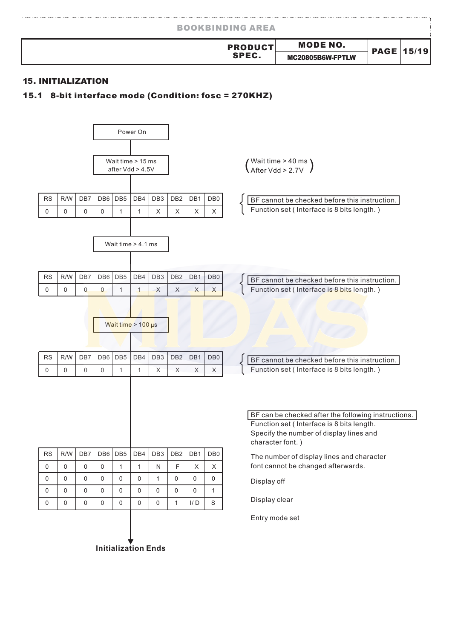| <b>BOOKBINDING AREA</b>        |                                     |                   |
|--------------------------------|-------------------------------------|-------------------|
| <b>PRODUCT</b><br><b>SPEC.</b> | <b>MODE NO.</b><br>MC20805B6W-FPTLW | <b>PAGE 15/19</b> |

#### 15. INITIALIZATION

#### 15.1 8-bit interface mode (Condition: fosc = 270KHZ)

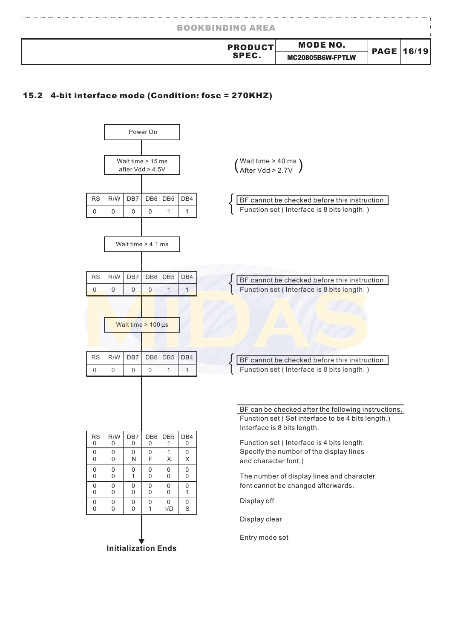| <b>BOOKBINDING AREA</b> |                                     |                   |
|-------------------------|-------------------------------------|-------------------|
| <b>PRODUCT</b><br>SPEC. | <b>MODE NO.</b><br>MC20805B6W-FPTLW | <b>PAGE 16/19</b> |

#### 15.2 4-bit interface mode (Condition: fosc = 270KHZ)

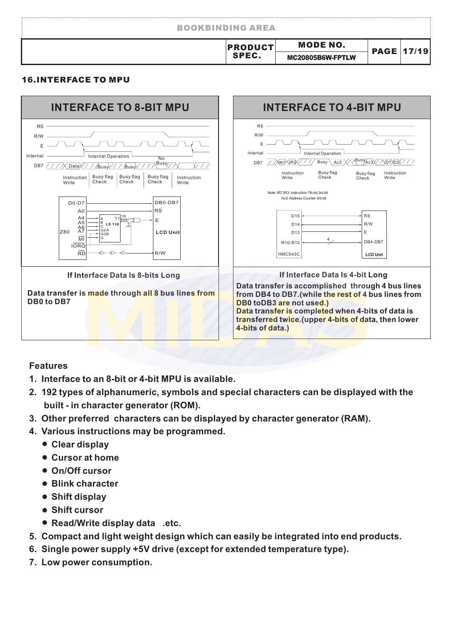| <b>MODE NO.</b><br><b>PRODUCTI</b> | <b>PAGE 17/19</b> |  |
|------------------------------------|-------------------|--|
| SPEC.<br>MC20805B6W-FPTLW          |                   |  |

#### 16.INTERFACE TO MPU



#### **Features**

- **1. Interface to an 8-bit or 4-bit MPU is available.**
- **2. 192 types of alphanumeric, symbols and special characters can be displayed with the built - in character generator (ROM).**
- **3. Other preferred characters can be displayed by character generator (RAM).**
- **4. Various instructions may be programmed.**
	- **Clear display**
	- **Cursor at home**
	- **On/Off cursor**
	- **Blink character**
	- **Shift display**
	- **Shift cursor**
	- **Read/Write display data .etc.**
- **5. Compact and light weight design which can easily be integrated into end products.**
- **6. Single power supply +5V drive (except for extended temperature type).**
- **7. Low power consumption.**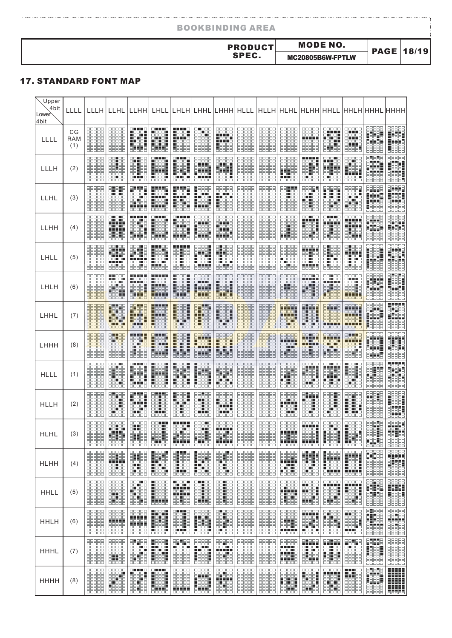| <b>MODE NO.</b><br><b>PRODUCT</b><br><b>PAGE 18/19</b><br>SPEC.<br>MC20805B6W-FPTLW | <b>BOOKBINDING AREA</b> |  |  |
|-------------------------------------------------------------------------------------|-------------------------|--|--|
|                                                                                     |                         |  |  |
|                                                                                     |                         |  |  |

#### 17. STANDARD FONT MAP

| <b>Upper</b><br>4bit<br>Lower<br>4bit | LLLL                    |                                                            | LLLH LLHL LLHH LHLL LHLH LHHL LHHH HLLL HLLH HLHL HLHH HHLL HHLH HHHL HHHH                      |                                                                              |                                                                                                |                                                                                                         |                                                                                           |                                                                          |                |                                                                  |                                                                     |                                                                                                                                              |                                                                                |                                                                  |                                                         |                                                                                                                                                                                                                                                                                                                                                                                                                                                                                  |
|---------------------------------------|-------------------------|------------------------------------------------------------|-------------------------------------------------------------------------------------------------|------------------------------------------------------------------------------|------------------------------------------------------------------------------------------------|---------------------------------------------------------------------------------------------------------|-------------------------------------------------------------------------------------------|--------------------------------------------------------------------------|----------------|------------------------------------------------------------------|---------------------------------------------------------------------|----------------------------------------------------------------------------------------------------------------------------------------------|--------------------------------------------------------------------------------|------------------------------------------------------------------|---------------------------------------------------------|----------------------------------------------------------------------------------------------------------------------------------------------------------------------------------------------------------------------------------------------------------------------------------------------------------------------------------------------------------------------------------------------------------------------------------------------------------------------------------|
| LLLL                                  | СG<br><b>RAM</b><br>(1) | 10000<br>30000<br>88888<br>00000<br>88888                  | 88888<br>aaaaa<br><b>00000</b><br>88888<br>00000<br>$\Box \Box \Box \Box \Box$                  | <b>.</b> .<br>п<br>Feet<br>Feet<br>e 110<br>$\Box \Box \Box \Box \Box$       | 88888<br>state<br>State<br>State<br>888888                                                     | <b>RENED</b><br>Fees<br>Heeld<br>$\blacksquare$ $\square$ $\square$ $\square$<br><b>R</b> onoo<br>88888 | <b>FOOO</b><br>30 I OC<br>300 0<br>88888<br>30000<br>3000C<br>88888                       | 88888<br>00000<br>HH.<br>Hee<br>$\Box$                                   | 88886<br>00000 | 00000<br>30000<br>88888<br><b>HEBBB</b><br>00000                 | <b>BBBBB</b>                                                        | 888888<br>88888<br>-----<br>66666<br>00000<br>00000                                                                                          | 88888<br><b>BEEF</b><br>■□<br>86688                                            | 10000<br>HHH<br>a sa sa<br>16666<br>T T T T<br><b>BBBBBB</b>     |                                                         |                                                                                                                                                                                                                                                                                                                                                                                                                                                                                  |
| LLLH                                  | (2)                     | 30000<br>88888<br>88888<br>00000<br>88888                  | 88 I 88<br>開開<br>로마<br>88688                                                                    | n m<br>8 H H S S<br>aanaa<br>п<br>oα<br>OΠ<br>88 I 88<br>8118                | 8000<br><b>Tagay</b><br>n mar<br>Feer<br>00000                                                 | 8 H H B<br>Faast<br>Heeft<br><b>HEEE</b>                                                                | aaaaa<br>2000a<br>3.8.9<br>m<br>ESSE<br>00000                                             | 00000<br>00000<br>2322<br>onn<br>ESSEL<br>00000                          | 88888          | 88888<br>噩<br>HHH                                                | 00000<br>語語<br>nnoo<br><b>Tarar</b>                                 | <b>____</b><br><b>OOOON</b><br>na 190<br>8333<br>88 I 88<br>8 1 8 8 8 <b>8</b><br>00000                                                      | 888 I 8<br><b>AN HEE</b><br>FFFF<br>83.68<br>85688                             | 00000<br>轠<br>EEEE<br>00000                                      |                                                         | 22222<br>1923<br>53335<br>88885<br>88885                                                                                                                                                                                                                                                                                                                                                                                                                                         |
| LLHL                                  | (3)                     | 30000<br>88888<br>00000<br>00000<br>88888                  | 8 O O O<br>er er r<br>ooooc<br>00000<br>00000<br>88888                                          | <b>HEF</b><br><b>TART.</b><br>88 OC<br>3 H O O O<br>-----<br>66666           | HH.<br>_ 888 L<br>Hija.                                                                        | FREET<br>Helde<br>Hill                                                                                  | Fijiri<br>Halan<br>HTH<br>88888                                                           |                                                                          | 00000<br>88888 | 00000<br>00000<br>nnnn<br>00000<br>00000<br>88888                | <b>___</b><br>HB<br>噩譜                                              | 888 B<br>89.BB<br>n an Iala<br>00000<br><b>BBBBB</b>                                                                                         | 00000<br>HOTOL<br>COOPER<br>COOPER                                             | 10000<br>939.A                                                   | 88888<br>Frida<br>Handi<br>Handi                        |                                                                                                                                                                                                                                                                                                                                                                                                                                                                                  |
| LLHH                                  | (4)                     | 999<br>00000<br>88888<br>88888                             | 8 I 8 I 8<br>99 E<br>onono<br><b>.</b><br>888<br>00000                                          | <b>____</b><br>887.8<br>36676<br>88681<br><b>LEBEL</b><br>8 H H H S<br>88888 | 8 H H B<br><b>FRASH</b><br>- 3355<br>HEER<br>8000<br>66666                                     | ----<br>HAAR<br>anna<br>BBBE<br><b>THEFT</b><br>00000                                                   | 30000<br>88888<br>an na<br>$\blacksquare$<br><b>LOODS</b><br><b>LEED</b><br>anna<br>00000 | <b>BEFE</b><br>$\blacksquare$<br>8 H H 18<br>FFFE<br>00000               | 00000          | <b>HEADER</b><br>HEAL                                            | <b>BBBB</b><br>開開                                                   | 88 E 88<br>HH<br><b>BEET</b><br>88 186<br>66666                                                                                              | 9449<br>88 E 88<br>講師                                                          | 3000C<br>HH.<br><b>____</b><br>8399<br>adia.                     |                                                         |                                                                                                                                                                                                                                                                                                                                                                                                                                                                                  |
| LHLL                                  | (5)                     | 88888<br>0000C<br>30000<br>88888<br>anaan                  | <b>00100</b><br>甲甲<br><b>THE</b><br>00000                                                       | 88 B B<br>87.TS<br>naana<br>. <b>.</b><br>88858<br>88888                     | <b>-1100</b><br>Feste<br>- 000<br>г<br><b>_000_</b><br>FFEE<br>00000                           | <b>____</b><br>88.88<br>體體<br>00000                                                                     | 9999-1<br>9999-1<br>Feele<br>n oo ah a<br>33 E E<br>aaaaa                                 | 80 88 8<br>8888<br><b>BEBBB</b><br>EF 78<br>00000                        | 88888<br>00000 | 88888<br>00000<br>00000<br>88888<br>00000                        | 88888<br>86666<br>$\blacksquare$<br>85788<br>00000                  | <b>HHH</b><br>oot 60<br>22 I OO<br>nn an n<br>-----<br>00000                                                                                 | HHH<br><b>FECO</b><br><b>PO 20</b><br>HAAA<br>88888                            | 400<br>8363<br>8365<br>888888                                    | 98898<br>- 198999<br>- 1989999<br>- 1989999<br>- 198999 |                                                                                                                                                                                                                                                                                                                                                                                                                                                                                  |
| LHLH                                  | (6)                     | 00000<br>88888<br>00000<br>9999<br>00000                   | <b>__</b> ___<br>HATH<br><b>BBBEE</b><br>88888                                                  | HHH<br>99991<br>00000                                                        | <b>Hall</b><br>. <del>.</del> .<br><u> Passa</u><br><b>THTT</b><br>00000                       | 1998<br>1992<br>1992<br>6776<br>00000                                                                   | 22222<br>Ficialai <sup>s</sup><br>Heistern<br>00000                                       | asses<br>Heeld<br>HETH<br>an tan<br>00000                                | 頭頭<br>00000    | HHH<br>00000<br>頭頭<br>$\Box$                                     | 88888<br>n de lei<br>i da ji<br>00000                               | 888 E 8<br>$\begin{array}{ c c c c }\hline \text{H}_1 & \text{H}_2 & \text{H}_3 \\\hline \end{array}$<br><b>BELLE</b><br><b>HHH</b><br>00000 | 88.88<br>78 T T<br>88 I 88<br>22.33<br>00000                                   | nooo<br>9.I.I I<br>100 <b>1</b> 0<br>88 F<br>. <u>.</u><br>00000 |                                                         |                                                                                                                                                                                                                                                                                                                                                                                                                                                                                  |
| LHHL                                  | (7)                     | 99999<br>88888<br>00000<br><b>00000</b>                    | <b>THATE</b><br>Hitari<br>Hitari<br>an nan<br>00000                                             | 27. J.J.<br>Harr<br>onno<br>00000                                            | <b>TITLE</b><br>Hass<br>88 B B B<br>Fees<br>nacion<br>00000                                    | Fans<br>Fans<br>Fans<br><b>Belles</b>                                                                   | 91 19<br><b>sreet</b><br>Heise<br>8 - 8 - 8 -<br>8 - 8 - 8 -<br>00000                     |                                                                          | 00000          | <b>HARRE</b><br>1000<br><b>BBBBB</b><br><u>00000</u><br>00000    | nnnn<br>mit<br>الألادات<br>an an<br>Bailtean<br>Bailtean            | <b>7 17 2</b><br>an dah<br>n oo n<br><b>BTBBF</b><br>n oo no<br>00000                                                                        | 0000C<br><b>LITE</b><br>1000c<br>88888<br>n m<br>00000                         | 99992<br><b>Gelek 1</b><br>an an<br>TI 11 11<br>00000            |                                                         |                                                                                                                                                                                                                                                                                                                                                                                                                                                                                  |
| LHHH                                  | (8)                     | 88888<br>10000<br>99999<br>30000<br>88888                  | a per<br>nini toja<br>aj jajo<br>88888<br><b>HEBBE</b><br>00000                                 | $\frac{1}{2}$<br>99. 199<br>8 - 1999<br>$\blacksquare$<br>88888              | 80 T T 18<br><b>Hask</b><br>Filipin<br><b>- 111</b><br>$\Box \Box \Box \Box \Box$              | <b>- 222</b><br>- 2224<br>- 2224<br><u>etate</u>                                                        | nnnn<br>227777<br>  1000-<br>  1000-<br>  1000-<br>888888                                 | 88888<br>FREET<br>Helen<br>Beleich                                       | 38888<br>88888 | 88888<br>nggaa<br>88888<br>00000<br>$\Box 0 0 0 0$               | 88888<br>. <u>.</u><br>eerse<br>Eel Le<br>8 8 8 8 8<br><b>BBBBB</b> | <b>DOLOR</b><br><b>EEFEE</b><br><b>.</b> .<br><b>22 22</b><br>88888                                                                          | <b>BOODO</b><br><b>HATHER</b><br>8 - 8<br>8 - 8 - 8<br>$\blacksquare$<br>00000 | <u>9. 8. 89</u><br>╨╨<br>seer<br>Seer<br>1 O O<br>88888          | 88888<br>1990 - 1990<br>1990 - 1990<br>1990 - 1990      |                                                                                                                                                                                                                                                                                                                                                                                                                                                                                  |
| <b>HLLL</b>                           | (1)                     | 10000<br>00000                                             | astas<br>8881 C<br>00000                                                                        | an na m<br>Feel<br><b>Tilli</b><br><b>FEE</b><br>00000                       | HSSS I<br>HHH<br>$\blacksquare$<br>П<br>88888                                                  | HHHH<br>ala ja<br>Häst<br>00000                                                                         | 00000                                                                                     | HARR<br><b>HTTE</b><br><b>FOOOL</b><br>00000                             | ooooo          |                                                                  | 89.BB                                                               | 00000<br><b>.</b> .<br>Filipi<br>Hilipi<br>British<br>8 H H 8 B<br>00000                                                                     | 88 O B B B<br><b>.</b><br>97 H<br><u>es es</u>                                 | 1991<br>1991:<br>897:00<br>897:00<br>00000                       |                                                         |                                                                                                                                                                                                                                                                                                                                                                                                                                                                                  |
| <b>HLLH</b>                           | (2)                     | <b>00000</b><br>00000<br>30000<br>88888<br>00000<br>88888  | $\blacksquare$<br>aa oo<br>88818<br>888 B<br><b>00000</b><br>8000<br>$\Box \Box \Box \Box \Box$ | ▅▅▅<br>HEEN<br>8333<br>386 TO<br>85588                                       | <b>TER</b><br>sa ka<br>Sa Ba<br>.<br>aaaaa                                                     | <b>LOOL</b><br>Fees                                                                                     | 30 L D D<br>56666<br>l Lee<br>38588<br>0 0 0 0<br><b>.</b><br>ooooo                       | <b>BBBBB</b><br><b>00000</b><br><b>HOOOH</b><br>HHH<br><b>BLLLE</b>      | 00000<br>88888 | 00000<br>00000<br>00000<br>88888<br>00000<br>88888               | 00000<br>eerse<br>Helen<br>Geboort                                  | no no n<br>88 B B B<br><b>_oo_c</b><br>888 E<br>666 6<br>aaana<br>وو ر<br>00000                                                              | 888 E<br>800 E 8<br>888.8<br>88 OC<br>85888                                    | aaaa<br>I O O<br>Fishian<br>Harista<br>Harista                   |                                                         |                                                                                                                                                                                                                                                                                                                                                                                                                                                                                  |
| <b>HLHL</b>                           | (3)                     |                                                            | 88888<br>BHH<br>HH                                                                              | 2288<br>出場<br>ᄆ<br>□□<br>88888                                               | 8 D H<br><b>BBH</b><br>- 66 - 1<br>81.88                                                       | 9999<br>8566<br><b>____</b><br>00000                                                                    | <b>DOLO</b><br>36666<br>99 H<br>H                                                         | <b>HATH</b><br>an da                                                     |                | 鞴<br>HHH                                                         | 8888<br>n mar<br>555<br>$\frac{1}{2}$                               | nnnnn<br><b>-----</b><br>照明<br>55555<br><b>____</b><br>00000                                                                                 | E<br><b>Hill</b>                                                               |                                                                  |                                                         |                                                                                                                                                                                                                                                                                                                                                                                                                                                                                  |
| HLHH                                  | (4)                     | 00000<br>00000<br>88888<br>00000<br>00000<br><b>BBBBBB</b> | 00000<br>開開<br>estes<br>88888                                                                   | 30000<br>HH<br><b>FE 88</b><br>10 00<br>85888                                | $\blacksquare$ $\Box$ $\Box$ $\blacksquare$<br>HHH<br>n on oo<br><b>_oo_a</b><br><b>BBBBBB</b> | <b>____</b><br>⊏<br>Hee<br><b>-</b> 88<br>$\blacksquare$<br>c<br>$\blacksquare$<br>8556                 | п<br>0000<br>镶嵌<br><b>BEER</b>                                                            | <b>00010</b><br>$\square$<br>99 193<br>99 193<br>19765<br><b>BBBBB</b>   | 00000<br>9999  | <b>00000</b><br>00000<br>88888<br><b>00000</b><br>00000<br>88888 | 00000<br><b>THE</b><br>893.18<br>38838                              | n ma<br>□<br>8 B B<br>80 G G<br>888 E<br>301 IGO<br>85888                                                                                    | п<br>0000<br>HH<br><b>TESEE</b>                                                | 00000<br>THE F<br><b>FBBEE</b><br>-----<br>uoo66                 |                                                         |                                                                                                                                                                                                                                                                                                                                                                                                                                                                                  |
| HHLL                                  | (5)                     |                                                            |                                                                                                 | <b>HANGE</b><br>80 B B B<br><b>BBBB</b>                                      | <u>n aan a</u><br>Feele<br>Feee<br>.<br>$\Box$                                                 | 431<br>oo do<br><b>____</b><br><b>BHH</b>                                                               | 02100<br>00100<br>00100<br>00100                                                          |                                                                          |                | HEEL                                                             | <b>SHOP</b><br>888<br>ويرت<br>BBBBB                                 | <b>HARRY</b><br><b>BEEF</b>                                                                                                                  | <b>00000</b>                                                                   | 00000<br>HH                                                      |                                                         |                                                                                                                                                                                                                                                                                                                                                                                                                                                                                  |
| HHLH                                  | (6)                     | 00000<br>88888<br>00000                                    | 88888<br><b>THEFT</b><br>8888<br><b>ooodo</b>                                                   | 88888<br><b>-----</b><br>66666<br><b>-11-11</b><br>88888<br>66666            | HH.<br><b>Tali</b><br>00000                                                                    | n na<br>888 B<br>300 TO<br>ana a<br><b>00000</b>                                                        | 開開<br>Harar<br>Harar<br>$\Box\Box\Box\Box\Box$                                            | $\blacksquare$<br><b>THE 28</b><br>36666<br><b>BRAGE</b><br><b>00000</b> | 88886          | 00000<br>88888<br>00000                                          | 8888<br>31 T T T<br><b>BBBEB</b><br>i i i i i<br>00000              | $\Box$<br>HHH<br><b>Filip</b><br>00000                                                                                                       | <b>THE</b><br>噩語                                                               | aaaaa                                                            |                                                         |                                                                                                                                                                                                                                                                                                                                                                                                                                                                                  |
| HHHL                                  | (7)                     | 8888<br>噩噩<br>o6666                                        | $\Box \Box \Box \Box \Box$                                                                      | 9. PR<br>8888 <b>1</b><br>99.H<br>$\Box \Box \Box \Box \Box$                 | -99<br>▬<br>19861<br>19861<br>19881<br>$\Box$                                                  | $\Box \Box \Box \Box \Box$                                                                              | asses<br>Hele<br>Har<br>$\Box \Box \Box \Box \Box$                                        | 22722<br>- 11111<br>- 22731<br>- 22882                                   | 88888          | 品館<br>ooooa<br>BBBB<br>00000                                     | 88888<br><b>.</b> .<br>000 L<br>88 F<br>n ma<br>00000               | HH<br>30 O O<br>87868<br>ocht<br>$\Box \Box \Box \Box \Box$                                                                                  | <b>HELLER</b><br>聽                                                             | 開開<br>30000<br>9999<br><b>00000</b>                              |                                                         | $\begin{tabular}{ c c } \hline \multicolumn{1}{c}{\textbf{0}} & \multicolumn{1}{c}{\textbf{0}} & \multicolumn{1}{c}{\textbf{0}} \\ \hline \multicolumn{1}{c}{\textbf{0}} & \multicolumn{1}{c}{\textbf{0}} & \multicolumn{1}{c}{\textbf{0}} & \multicolumn{1}{c}{\textbf{0}} \\ \hline \multicolumn{1}{c}{\textbf{0}} & \multicolumn{1}{c}{\textbf{0}} & \multicolumn{1}{c}{\textbf{0}} & \multicolumn{1}{c}{\textbf{0}} \\ \hline \multicolumn{1}{c}{\textbf{0}} & \multicolumn$ |
| нннн                                  | (8)                     | 開開<br>噩<br>00000                                           | HHH<br>88 I 88<br>HHH<br>00000                                                                  | <b>Seeds</b><br>888 E S<br>99599<br>nnnn<br>ōc<br>п<br>OΠ<br>00000           | 2553<br><b>NOOC</b><br>ш<br>HSSE I<br>anna<br>00000                                            | <b>THEFT</b><br><b>00000</b>                                                                            | <b>HILL</b><br>Farr<br>anna<br>00000                                                      | 8888<br><b>THEFT</b><br>8888<br><u>00000</u><br>00000                    | 00000          | 開開<br>00000                                                      | 明明<br><b>Title</b><br>00000                                         | HH<br><b>HELL</b><br><b>BBBH</b><br><b>0000</b><br>00000                                                                                     | 000000<br><b>FRANK</b><br>88883<br>999<br>00000                                | 18188<br>nnaa<br>00000<br>eeee<br>00000                          | 8008<br>Fees<br>Fees<br>Bees<br><b>THE DOOD</b>         |                                                                                                                                                                                                                                                                                                                                                                                                                                                                                  |